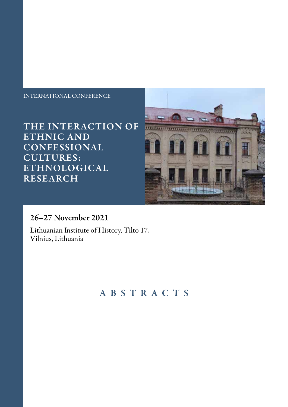#### INTERNATIONAL CONFERENCE

THE INTERACTION OF ETHNIC AND CONFESSIONAL CULTURES: ETHNOLOGICAL RESEARCH



### 26–27 November 2021

Lithuanian Institute of History, Tilto 17, Vilnius, Lithuania

# ABSTRACTS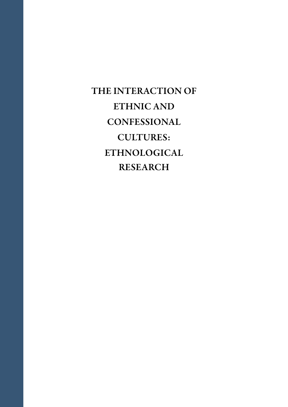THE INTERACTION OF ETHNIC AND **CONFESSIONAL** CULTURES: ETHNOLOGICAL RESEARCH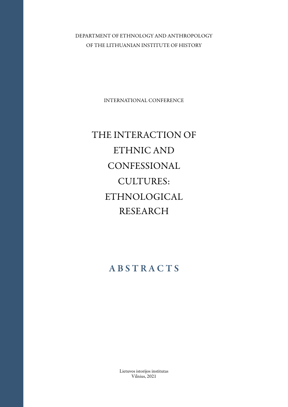DEPARTMENT OF ETHNOLOGY AND ANTHROPOLOGY OF THE LITHUANIAN INSTITUTE OF HISTORY

INTERNATIONAL CONFERENCE

# THE INTERACTION OF ETHNIC AND CONFESSIONAL CULTURES: ETHNOLOGICAL RESEARCH

# **ABSTRACTS**

Lietuvos istorijos institutas Vilnius, 2021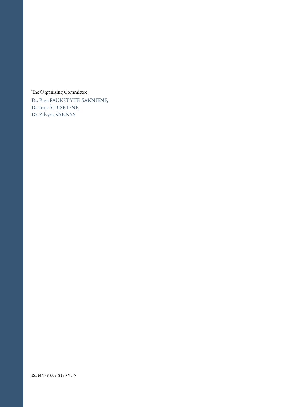#### The Organising Committee:

Dr. Rasa PAUKŠTYTĖ-ŠAKNIENĖ, Dr. Irma ŠIDIŠKIENĖ, Dr. Žilvytis ŠAKNYS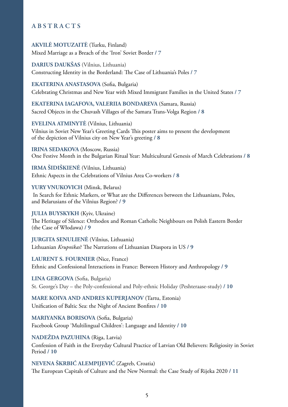#### A B S T R A C T S

**AKVILĖ MOTUZAITĖ** (Turku, Finland) Mixed Marriage as a Breach of the 'Iron' Soviet Border **/ 7**

**DARIUS DAUKŠAS** (Vilnius, Lithuania) Constructing Identity in the Borderland: The Case of Lithuania's Poles **/ 7**

**EKATERINA ANASTASOVA** (Sofia, Bulgaria) Celebrating Christmas and New Year with Mixed Immigrant Families in the United States **/ 7**

**EKATERINA IAGAFOVA, VALERIIA BONDAREVA** (Samara, Russia) Sacred Objects in the Chuvash Villages of the Samara Trans-Volga Region **/ 8**

**EVELINA ATMINYTĖ** (Vilnius, Lithuania) Vilnius in Soviet New Year's Greeting Cards This poster aims to present the development of the depiction of Vilnius city on New Year's greeting **/ 8**

**IRINA SEDAKOVA** (Moscow, Russia) One Festive Month in the Bulgarian Ritual Year: Multicultural Genesis of March Celebrations **/ 8**

**IRMA ŠIDIŠKIENĖ** (Vilnius, Lithuania) Ethnic Aspects in the Celebrations of Vilnius Area Co-workers **/ 8**

YURY VNUKOVICH (Minsk, Belarus) In Search for Ethnic Markers, or What are the Differences between the Lithuanians, Poles, and Belarusians of the Vilnius Region? **/ 9**

**JULIA BUYSKYKH** (Kyiv, Ukraine) The Heritage of Silence: Orthodox and Roman Catholic Neighbours on Polish Eastern Border (the Case of Włodawa) **/ 9**

**JURGITA SENULIENĖ** (Vilnius, Lithuania) Lithuanian *Krupnikas*? The Narrations of Lithuanian Diaspora in US **/ 9**

**LAURENT S. FOURNIER** (Nice, France) Ethnic and Confessional Interactions in France: Between History and Anthropology **/ 9**

**LINA GERGOVA** (Sofia, Bulgaria) St. George's Day – the Poly-confessional and Poly-ethnic Holiday (Peshteraase-study) **/ 10**

**MARE KOIVA AND ANDRES KUPERJANOV** (Tartu, Estonia) Unification of Baltic Sea: the Night of Ancient Bonfires **/ 10**

**MARIYANKA BORISOVA** (Sofia, Bulgaria) Facebook Group 'Multilingual Children': Language and Identity **/ 10**

**NADEŽDA PAZUHINA** (Riga, Latvia)

Confession of Faith in the Everyday Cultural Practice of Latvian Old Believers: Religiosity in Soviet Period **/ 10**

**NEVENA ŠKRBIĆ ALEMPIJEVIĆ** (Zagreb, Croatia) The European Capitals of Culture and the New Normal: the Case Study of Rijeka 2020 **/ 11**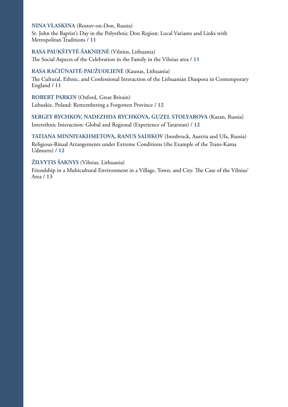#### **NINA VLASKINA** (Rostov-on-Don, Russia)

St. John the Baptist's Day in the Polyethnic Don Region: Local Variants and Links with Metropolitan Traditions **/ 11**

#### **RASA PAUKŠTYTĖ-ŠAKNIENĖ** (Vilnius, Lithuania)

The Social Aspects of the Celebration in the Family in the Vilnius area **/ 11**

#### **RASA RAČIŪNAITĖ-PAUŽUOLIENĖ** (Kaunas, Lithuania)

The Cultural, Ethnic, and Confessional Interaction of the Lithuanian Diaspora in Contemporary England **/ 11**

**ROBERT PARKIN** (Oxford, Great Britain) Lubuskie, Poland: Remembering a Forgotten Province **/ 12**

#### **SERGEY RYCHKOV, NADEZHDA RYCHKOVA, GUZEL STOLYAROVA** (Kazan, Russia) Interethnic Interaction: Global and Regional (Experience of Tatarstan) **/ 12**

**TATIANA MINNIYAKHMETOVA, RANUS SADIKOV** (Innsbruck, Austria and Ufa, Russia) Religious-Ritual Arrangements under Extreme Conditions (the Example of the Trans-Kama Udmurts) **/ 12**

#### **ŽILVYTIS ŠAKNYS** (Vilnius, Lithuania)

Friendship in a Multicultural Environment in a Village, Town, and City. The Case of the Vilnius' Area **/ 13**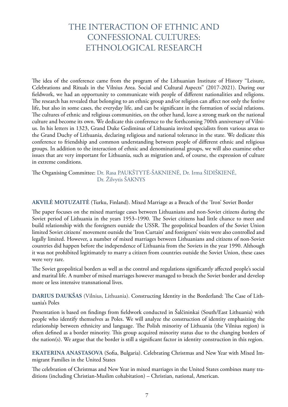## THE INTERACTION OF ETHNIC AND CONFESSIONAL CULTURES: ETHNOLOGICAL RESEARCH

The idea of the conference came from the program of the Lithuanian Institute of History ''Leisure, Celebrations and Rituals in the Vilnius Area. Social and Cultural Aspects'' (2017-2021). During our fieldwork, we had an opportunity to communicate with people of different nationalities and religions. The research has revealed that belonging to an ethnic group and/or religion can affect not only the festive life, but also in some cases, the everyday life, and can be significant in the formation of social relations. The cultures of ethnic and religious communities, on the other hand, leave a strong mark on the national culture and become its own. We dedicate this conference to the forthcoming 700th anniversary of Vilnius. In his letters in 1323, Grand Duke Gediminas of Lithuania invited specialists from various areas to the Grand Duchy of Lithuania, declaring religious and national tolerance in the state. We dedicate this conference to friendship and common understanding between people of different ethnic and religious groups. In addition to the interaction of ethnic and denominational groups, we will also examine other issues that are very important for Lithuania, such as migration and, of course, the expression of culture in extreme conditions.

The Organising Committee: Dr. Rasa PAUKŠTYTĖ-ŠAKNIENĖ, Dr. Irma ŠIDIŠKIENĖ, Dr. Žilvytis ŠAKNYS

#### **AKVILĖ MOTUZAITĖ** (Turku, Finland). Mixed Marriage as a Breach of the 'Iron' Soviet Border

The paper focuses on the mixed marriage cases between Lithuanians and non-Soviet citizens during the Soviet period of Lithuania in the years 1953–1990. The Soviet citizens had little chance to meet and build relationship with the foreigners outside the USSR. The geopolitical boarders of the Soviet Union limited Soviet citizens' movement outside the 'Iron Curtain' and foreigners' visits were also controlled and legally limited. However, a number of mixed marriages between Lithuanians and citizens of non-Soviet countries did happen before the independence of Lithuania from the Soviets in the year 1990. Although it was not prohibited legitimately to marry a citizen from countries outside the Soviet Union, these cases were very rare.

The Soviet geopolitical borders as well as the control and regulations significantly affected people's social and marital life. A number of mixed marriages however managed to breach the Soviet border and develop more or less intensive transnational lives.

**DARIUS DAUKŠAS** (Vilnius, Lithuania). Constructing Identity in the Borderland: The Case of Lithuania's Poles

Presentation is based on findings from fieldwork conducted in Šalčininkai (South/East Lithuania) with people who identify themselves as Poles. We will analyze the construction of identity emphasizing the relationship between ethnicity and language. The Polish minority of Lithuania (the Vilnius region) is often defined as a border minority. This group acquired minority status due to the changing borders of the nation(s). We argue that the border is still a significant factor in identity construction in this region.

**EKATERINA ANASTASOVA** (Sofia, Bulgaria). Celebrating Christmas and New Year with Mixed Immigrant Families in the United States

The celebration of Christmas and New Year in mixed marriages in the United States combines many traditions (including Christian-Muslim cohabitation) – Christian, national, American.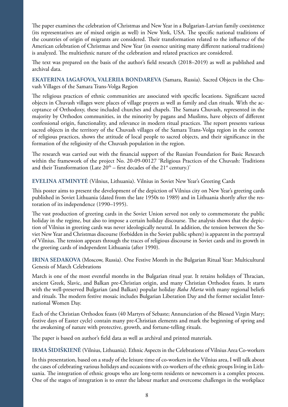The paper examines the celebration of Christmas and New Year in a Bulgarian-Latvian family coexistence (its representatives are of mixed origin as well) in New York, USA. The specific national traditions of the countries of origin of migrants are considered. Their transformation related to the influence of the American celebration of Christmas and New Year (in essence uniting many different national traditions) is analyzed. The multiethnic nature of the celebration and related practices are considered.

The text was prepared on the basis of the author's field research (2018–2019) as well as published and archival data.

**EKATERINA IAGAFOVA, VALERIIA BONDAREVA** (Samara, Russia). Sacred Objects in the Chuvash Villages of the Samara Trans-Volga Region

The religious practices of ethnic communities are associated with specific locations. Significant sacred objects in Chuvash villages were places of village prayers as well as family and clan rituals. With the acceptance of Orthodoxy, these included churches and chapels. The Samara Chuvash, represented in the majority by Orthodox communities, in the minority by pagans and Muslims, have objects of different confessional origin, functionality, and relevance in modern ritual practices. The report presents various sacred objects in the territory of the Chuvash villages of the Samara Trans-Volga region in the context of religious practices, shows the attitude of local people to sacred objects, and their significance in the formation of the religiosity of the Chuvash population in the region.

The research was carried out with the financial support of the Russian Foundation for Basic Research within the framework of the project No. 20-09-00127 'Religious Practices of the Chuvash: Traditions and their Transformation (Late  $20<sup>th</sup>$  – first decades of the  $21<sup>st</sup>$  century.)'

**EVELINA ATMINYTĖ** (Vilnius, Lithuania). Vilnius in Soviet New Year's Greeting Cards

This poster aims to present the development of the depiction of Vilnius city on New Year's greeting cards published in Soviet Lithuania (dated from the late 1950s to 1989) and in Lithuania shortly after the restoration of its independence (1990–1995).

The vast production of greeting cards in the Soviet Union served not only to commemorate the public holiday in the regime, but also to impose a certain holiday discourse. The analysis shows that the depiction of Vilnius in greeting cards was never ideologically neutral. In addition, the tension between the Soviet New Year and Christmas discourse (forbidden in the Soviet public sphere) is apparent in the portrayal of Vilnius. The tension appears through the traces of religious discourse in Soviet cards and its growth in the greeting cards of independent Lithuania (after 1990).

**IRINA SEDAKOVA** (Moscow, Russia). One Festive Month in the Bulgarian Ritual Year: Multicultural Genesis of March Celebrations

March is one of the most eventful months in the Bulgarian ritual year. It retains holidays of Thracian, ancient Greek, Slavic, and Balkan pre-Christian origin, and many Christian Orthodox feasts. It starts with the well-preserved Bulgarian (and Balkan) popular holiday *Baba Marta* with many regional beliefs and rituals. The modern festive mosaic includes Bulgarian Liberation Day and the former socialist International Women Day.

Each of the Christian Orthodox feasts (40 Martyrs of Sebaste; Annunciation of the Blessed Virgin Mary; festive days of Easter cycle) contain many pre-Christian elements and mark the beginning of spring and the awakening of nature with protective, growth, and fortune-telling rituals.

The paper is based on author's field data as well as archival and printed materials.

**IRMA ŠIDIŠKIENĖ** (Vilnius, Lithuania). Ethnic Aspects in the Celebrations of Vilnius Area Co-workers

In this presentation, based on a study of the leisure time of co-workers in the Vilnius area, I will talk about the cases of celebrating various holidays and occasions with co-workers of the ethnic groups living in Lithuania. The integration of ethnic groups who are long-term residents or newcomers is a complex process. One of the stages of integration is to enter the labour market and overcome challenges in the workplace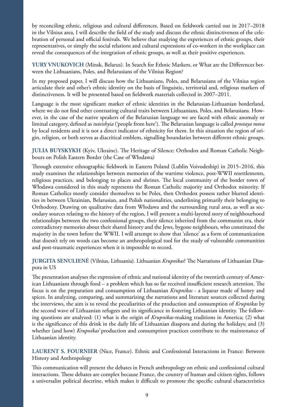by reconciling ethnic, religious and cultural differences. Based on fieldwork carried out in 2017–2018 in the Vilnius area, I will describe the field of the study and discuss the ethnic distinctiveness of the celebration of personal and official festivals. We believe that studying the experiences of ethnic groups, their representatives, or simply the social relations and cultural expressions of co-workers in the workplace can reveal the consequences of the integration of ethnic groups, as well as their positive experiences.

**YURY VNUKOVICH** (Minsk, Belarus). In Search for Ethnic Markers, or What are the Differences between the Lithuanians, Poles, and Belarusians of the Vilnius Region?

In my proposed paper, I will discuss how the Lithuanians, Poles, and Belarusians of the Vilnius region articulate their and other's ethnic identity on the basis of linguistic, territorial and, religious markers of distinctiveness. It will be presented based on fieldwork materials collected in 2007–2011.

Language is the most significant marker of ethnic identities in the Belarusian-Lithuanian borderland, where we do not find other contrasting cultural traits between Lithuanians, Poles, and Belarusians. However, in the case of the native speakers of the Belarusian language we are faced with ethnic anomaly or liminal category, defined as *tuteishyia* ('people from here'). The Belarusian language is called *prostaya mova* by local residents and it is not a direct indicator of ethnicity for them. In this situation the region of origin, religion, or both serves as diacritical emblem, signalling boundaries between different ethnic groups.

**JULIA BUYSKYKH** (Kyiv, Ukraine). The Heritage of Silence: Orthodox and Roman Catholic Neighbours on Polish Eastern Border (the Case of Włodawa)

Through extensive ethnographic fieldwork in Eastern Poland (Lublin Voivodeship) in 2015−2016, this study examines the relationships between memories of the wartime violence, post-WWII resettlements, religious practices, and belonging to places and shrines. The local community of the border town of Włodawa considered in this study represents the Roman Catholic majority and Orthodox minority. If Roman Catholics mostly consider themselves to be Poles, then Orthodox possess rather blurred identities in between Ukrainian, Belarusian, and Polish nationalities, underlining primarily their belonging to Orthodoxy. Drawing on qualitative data from Włodawa and the surrounding rural area, as well as secondary sources relating to the history of the region, I will present a multi-layered story of neighbourhood relationships between the two confessional groups, their silence inherited from the communist era, their contradictory memories about their shared history and the Jews, bygone neighbours, who constituted the majority in the town before the WWII. I will attempt to show that 'silence' as a form of communication that doesn't rely on words can become an anthropological tool for the study of vulnerable communities and post-traumatic experiences when it is impossible to record.

#### **JURGITA SENULIENĖ** (Vilnius, Lithuania). Lithuanian *Krupnikas*? The Narrations of Lithuanian Diaspora in US

The presentation analyses the expression of ethnic and national identity of the twentieth century of American Lithuanians through food – a problem which has so far received insufficient research attention. The focus is on the preparation and consumption of Lithuanian *Krupnikas* - a liqueur made of honey and spices. In analyzing, comparing, and summarizing the narrations and literature sources collected during the interviews, the aim is to reveal the peculiarities of the production and consumption of *Krupnikas* by the second wave of Lithuanian refugees and its significance in fostering Lithuanian identity. The following questions are analyzed: (1) what is the origin of *Krupnikas*-making traditions in America; (2) what is the significance of this drink in the daily life of Lithuanian diaspora and during the holidays; and (3) whether (and how) *Krupnikas'* production and consumption practices contribute to the maintenance of Lithuanian identity.

**LAURENT S. FOURNIER** (Nice, France). Ethnic and Confessional Interactions in France: Between History and Anthropology

This communication will present the debates in French anthropology on ethnic and confessional cultural interactions. These debates are complex because France, the country of human and citizen rights, follows a universalist political doctrine, which makes it difficult to promote the specific cultural characteristics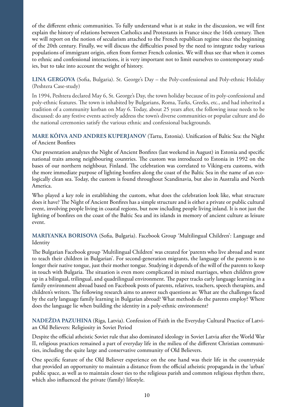of the different ethnic communities. To fully understand what is at stake in the discussion, we will first explain the history of relations between Catholics and Protestants in France since the 16th century. Then we will report on the notion of secularism attached to the French republican regime since the beginning of the 20th century. Finally, we will discuss the difficulties posed by the need to integrate today various populations of immigrant origin, often from former French colonies. We will thus see that when it comes to ethnic and confessional interactions, it is very important not to limit ourselves to contemporary studies, but to take into account the weight of history.

**LINA GERGOVA** (Sofia, Bulgaria). St. George's Day – the Poly-confessional and Poly-ethnic Holiday (Peshtera Case-study)

In 1994, Peshtera declared May 6, St. George's Day, the town holiday because of its poly-confessional and poly-ethnic features. The town is inhabited by Bulgarians, Roma, Turks, Greeks, etc., and had inherited a tradition of a community korban on May 6. Today, about 25 years after, the following issue needs to be discussed: do any festive events actively address the town's diverse communities or popular culture and do the national ceremonies satisfy the various ethnic and confessional backgrounds.

#### **MARE KÕIVA AND ANDRES KUPERJANOV** (Tartu, Estonia). Unification of Baltic Sea: the Night of Ancient Bonfires

Our presentation analyzes the Night of Ancient Bonfires (last weekend in August) in Estonia and specific national traits among neighbouring countries. The custom was introduced to Estonia in 1992 on the bases of our northern neighbour, Finland. The celebration was correlated to Viking-era customs, with the more immediate purpose of lighting bonfires along the coast of the Baltic Sea in the name of an ecologically clean sea. Today, the custom is found throughout Scandinavia, but also in Australia and North America.

Who played a key role in establishing the custom, what does the celebration look like, what structure does it have? The Night of Ancient Bonfires has a simple structure and is either a private or public cultural event, involving people living in coastal regions, but now including people living inland. It is not just the lighting of bonfires on the coast of the Baltic Sea and its islands in memory of ancient culture as leisure event.

**MARIYANKA BORISOVA** (Sofia, Bulgaria). Facebook Group 'Multilingual Children': Language and Identity

The Bulgarian Facebook group 'Multilingual Children' was created for 'parents who live abroad and want to teach their children in Bulgarian'. For second-generation migrants, the language of the parents is no longer their native tongue, just their mother tongue. Studying it depends of the will of the parents to keep in touch with Bulgaria. The situation is even more complicated in mixed marriages, when children grow up in a bilingual, trilingual, and quadrilingual environment. The paper tracks early language learning in a family environment abroad based on Facebook posts of parents, relatives, teachers, speech therapists, and children's writers. The following research aims to answer such questions as: What are the challenges faced by the early language family learning in Bulgarian abroad? What methods do the parents employ? Where does the language lie when building the identity in a poly-ethnic environment?

**NADEŽDA PAZUHINA** (Riga, Latvia). Confession of Faith in the Everyday Cultural Practice of Latvian Old Believers: Religiosity in Soviet Period

Despite the official atheistic Soviet rule that also dominated ideology in Soviet Latvia after the World War II, religious practices remained a part of everyday life in the milieu of the different Christian communities, including the quite large and conservative community of Old Believers.

One specific feature of the Old Believer experience on the one hand was their life in the countryside that provided an opportunity to maintain a distance from the official atheistic propaganda in the 'urban' public space, as well as to maintain closer ties to the religious parish and common religious rhythm there, which also influenced the private (family) lifestyle.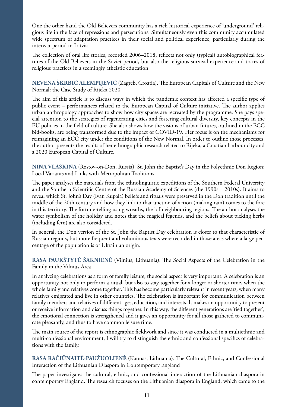One the other hand the Old Believers community has a rich historical experience of 'underground' religious life in the face of repressions and persecutions. Simultaneously even this community accumulated wide spectrum of adaptation practices in their social and political experience, particularly during the interwar period in Latvia.

The collection of oral life stories, recorded 2006–2018, reflects not only (typical) autobiographical features of the Old Believers in the Soviet period, but also the religious survival experience and traces of religious practices in a seemingly atheistic education.

**NEVENA ŠKRBIĆ ALEMPIJEVIĆ** (Zagreb, Croatia). The European Capitals of Culture and the New Normal: the Case Study of Rijeka 2020

The aim of this article is to discuss ways in which the pandemic context has affected a specific type of public event – performances related to the European Capital of Culture initiative. The author applies urban anthropology approaches to show how city spaces are recreated by the programme. She pays special attention to the strategies of regenerating cities and fostering cultural diversity, key concepts in the EU policies in the field of culture. She also shows how the visions of urban futures, outlined in the ECC bid-books, are being transformed due to the impact of COVID-19. Her focus is on the mechanisms for reimagining an ECC city under the conditions of the New Normal. In order to outline those processes, the author presents the results of her ethnographic research related to Rijeka, a Croatian harbour city and a 2020 European Capital of Culture.

**NINA VLASKINA** (Rostov-on-Don, Russia). St. John the Baptist's Day in the Polyethnic Don Region: Local Variants and Links with Metropolitan Traditions

The paper analyses the materials from the ethnolinguistic expeditions of the Southern Federal University and the Southern Scientific Centre of the Russian Academy of Sciences (the 1990s – 2010s). It aims to reveal which St. John's Day (Ivan Kupala) beliefs and rituals were preserved in the Don tradition until the middle of the 20th century and how they link to that unction of action (making rain) comes to the fore in this territory. The fortune-telling using wreaths, the lof neighbouring regions. The author analyses the water symbolism of the holiday and notes that the magical fegends, and the beliefs about picking herbs (including fern) are also considered.

In general, the Don version of the St. John the Baptist Day celebration is closer to that characteristic of Russian regions, but more frequent and voluminous texts were recorded in those areas where a large percentage of the population is of Ukrainian origin.

**RASA PAUKŠTYTĖ-ŠAKNIENĖ** (Vilnius, Lithuania). The Social Aspects of the Celebration in the Family in the Vilnius Area

In analyzing celebrations as a form of family leisure, the social aspect is very important. A celebration is an opportunity not only to perform a ritual, but also to stay together for a longer or shorter time, when the whole family and relatives come together. This has become particularly relevant in recent years, when many relatives emigrated and live in other countries. The celebration is important for communication between family members and relatives of different ages, education, and interests. It makes an opportunity to present or receive information and discuss things together. In this way, the different generations are 'tied together', the emotional connection is strengthened and it gives an opportunity for all those gathered to communicate pleasantly, and thus to have common leisure time.

The main source of the report is ethnographic fieldwork and since it was conducted in a multiethnic and multi-confessional environment, I will try to distinguish the ethnic and confessional specifics of celebrations with the family.

**RASA RAČIŪNAITĖ-PAUŽUOLIENĖ** (Kaunas, Lithuania). The Cultural, Ethnic, and Confessional Interaction of the Lithuanian Diaspora in Contemporary England

The paper investigates the cultural, ethnic, and confessional interaction of the Lithuanian diaspora in contemporary England. The research focuses on the Lithuanian diaspora in England, which came to the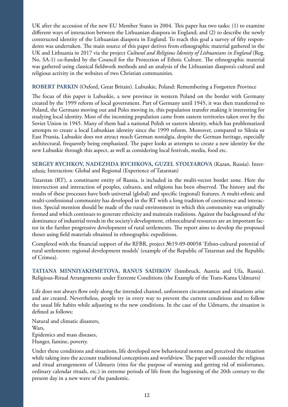UK after the accession of the new EU Member States in 2004. This paper has two tasks: (1) to examine different ways of interaction between the Lithuanian diaspora in England; and (2) to describe the newly constructed identity of the Lithuanian diaspora in England. To reach this goal a survey of fifty respondents was undertaken. The main source of this paper derives from ethnographic material gathered in the UK and Lithuania in 2017 via the project *Cultural and Religious Identity of Lithuanians in England* (Reg. No. SA-1) co-funded by the Council for the Protection of Ethnic Culture. The ethnographic material was gathered using classical fieldwork methods and an analysis of the Lithuanian diaspora's cultural and religious activity in the websites of two Christian communities.

#### **ROBERT PARKIN** (Oxford, Great Britain). Lubuskie, Poland: Remembering a Forgotten Province

The focus of this paper is Lubuskie, a new province in western Poland on the border with Germany created by the 1999 reform of local government. Part of Germany until 1945, it was then transferred to Poland, the Germans moving out and Poles moving in, this population transfer making it interesting for studying local identity. Most of the incoming population came from eastern territories taken over by the Soviet Union in 1945. Many of them had a national Polish or eastern identity, which has problematized attempts to create a local Lubuskian identity since the 1999 reform. Moreover, compared to Silesia or East Prussia, Lubuskie does not attract much German nostalgia, despite the German heritage, especially architectural, frequently being emphasized. The paper looks at attempts to create a new identity for the new Lubuskie through this aspect, as well as considering local festivals, media, food etc.

**SERGEY RYCHKOV, NADEZHDA RYCHKOVA, GUZEL STOLYAROVA** (Kazan, Russia). Interethnic Interaction: Global and Regional (Experience of Tatarstan)

Tatarstan (RT), a constituent entity of Russia, is included in the multi-vector border zone. Here the intersection and interaction of peoples, cultures, and religions has been observed. The history and the results of these processes have both universal (global) and specific (regional) features. A multi-ethnic and multi-confessional community has developed in the RT with a long tradition of coexistence and interaction. Special mention should be made of the rural environment in which this community was originally formed and which continues to generate ethnicity and maintain traditions. Against the background of the dominance of industrial trends in the society's development, ethnocultural resources are an important factor in the further progressive development of rural settlements. The report aims to develop the proposed theses using field materials obtained in ethnographic expeditions.

Completed with the financial support of the RFBR, project №19-09-00058 'Ethno-cultural potential of rural settlements: regional development models' (example of the Republic of Tatarstan and the Republic of Crimea).

**TATIANA MINNIYAKHMETOVA, RANUS SADIKOV** (Innsbruck, Austria and Ufa, Russia). Religious-Ritual Arrangements under Extreme Conditions (the Example of the Trans-Kama Udmurts)

Life does not always flow only along the intended channel, unforeseen circumstances and situations arise and are created. Nevertheless, people try in every way to prevent the current conditions and to follow the usual life habits while adjusting to the new conditions. In the case of the Udmurts, the situation is defined as follows:

Natural and climatic disasters, Wars, Epidemics and mass diseases, Hunger, famine, poverty.

Under these conditions and situations, life developed new behavioural norms and perceived the situation while taking into the account traditional conceptions and worldview. The paper will consider the religious and ritual arrangements of Udmurts (rites for the purpose of warning and getting rid of misfortunes, ordinary calendar rituals, etc.) in extreme periods of life from the beginning of the 20th century to the present day in a new wave of the pandemic.